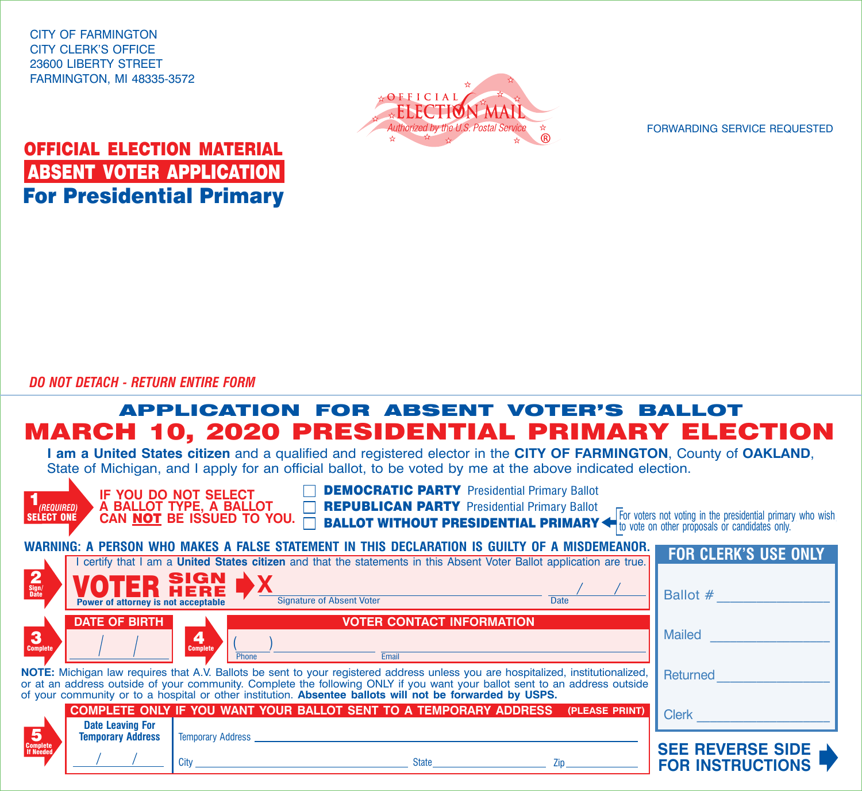CITY OF FARMINGTON CITY CLERK'S OFFICE 23600 LIBERTY STREET FARMINGTON, MI 48335-3572



FORWARDING SERVICE REQUESTED

## OFFICIAL ELECTION MATERIAL ABSENT VOTER APPLICATION For Presidential Primary

*DO NOT DETACH - RETURN ENTIRE FORM*

## APPLICATION FOR ABSENT VOTER'S BALLOT MARCH 10, 2020 PRESIDENTIAL PRIMARY ELECTION

**I am a United States citizen** and a qualified and registered elector in the **CITY OF FARMINGTON**, County of **OAKLAND**, State of Michigan, and Lapply for an official ballot, to be voted by me at the above indicated election.

| bidio of mioniquity and rapply for an omold banon, to be voted by mo at the doore malbated clockers.                                                                                                                                                           |                                                                                               |                                                                              |                                                                                                                     |  |                |                                                                                                                                                                           |  |  |
|----------------------------------------------------------------------------------------------------------------------------------------------------------------------------------------------------------------------------------------------------------------|-----------------------------------------------------------------------------------------------|------------------------------------------------------------------------------|---------------------------------------------------------------------------------------------------------------------|--|----------------|---------------------------------------------------------------------------------------------------------------------------------------------------------------------------|--|--|
| (REQUIRED)<br><b>SELECT ONE</b>                                                                                                                                                                                                                                |                                                                                               | IF YOU DO NOT SELECT<br>A BALLOT TYPE, A BALLOT<br>CAN NOT BE ISSUED TO YOU. | <b>DEMOCRATIC PARTY</b> Presidential Primary Ballot<br><b>REPUBLICAN PARTY Presidential Primary Ballot</b>          |  |                | For voters not voting in the presidential primary who wish<br><b>BALLOT WITHOUT PRESIDENTIAL PRIMARY &lt;&gt;&gt;&gt; The vote on other proposals or candidates only.</b> |  |  |
|                                                                                                                                                                                                                                                                | WARNING: A PERSON WHO MAKES A FALSE STATEMENT IN THIS DECLARATION IS GUILTY OF A MISDEMEANOR. |                                                                              |                                                                                                                     |  |                |                                                                                                                                                                           |  |  |
|                                                                                                                                                                                                                                                                |                                                                                               |                                                                              | certify that I am a United States citizen and that the statements in this Absent Voter Ballot application are true. |  |                | <b>FOR CLERK'S USE ONLY</b>                                                                                                                                               |  |  |
|                                                                                                                                                                                                                                                                |                                                                                               |                                                                              |                                                                                                                     |  |                |                                                                                                                                                                           |  |  |
| $\frac{2}{\text{Sign/}}$                                                                                                                                                                                                                                       | Power of attorney is not acceptable                                                           | SIGN<br>HERE                                                                 | <b>Signature of Absent Voter</b>                                                                                    |  | <b>Date</b>    | Ballot #                                                                                                                                                                  |  |  |
|                                                                                                                                                                                                                                                                | <b>DATE OF BIRTH</b>                                                                          |                                                                              | <b>VOTER CONTACT INFORMATION</b>                                                                                    |  |                |                                                                                                                                                                           |  |  |
| $\mathbf{3}$<br><b>Complete</b>                                                                                                                                                                                                                                |                                                                                               | 4<br><b>Complete</b><br>Phone                                                | Email                                                                                                               |  |                | <b>Mailed</b>                                                                                                                                                             |  |  |
|                                                                                                                                                                                                                                                                |                                                                                               | <b>Returned</b>                                                              |                                                                                                                     |  |                |                                                                                                                                                                           |  |  |
| NOTE: Michigan law requires that A.V. Ballots be sent to your registered address unless you are hospitalized, institutionalized,<br>or at an address outside of your community. Complete the following ONLY if you want your ballot sent to an address outside |                                                                                               |                                                                              |                                                                                                                     |  |                |                                                                                                                                                                           |  |  |
| of your community or to a hospital or other institution. Absentee ballots will not be forwarded by USPS.                                                                                                                                                       |                                                                                               |                                                                              |                                                                                                                     |  |                |                                                                                                                                                                           |  |  |
|                                                                                                                                                                                                                                                                |                                                                                               |                                                                              | COMPLETE ONLY IF YOU WANT YOUR BALLOT SENT TO A TEMPORARY ADDRESS                                                   |  | (PLEASE PRINT) | <b>Clerk</b>                                                                                                                                                              |  |  |
|                                                                                                                                                                                                                                                                | <b>Date Leaving For</b>                                                                       |                                                                              |                                                                                                                     |  |                |                                                                                                                                                                           |  |  |
| 5                                                                                                                                                                                                                                                              | <b>Temporary Address</b>                                                                      | <b>Temporary Address</b>                                                     |                                                                                                                     |  |                |                                                                                                                                                                           |  |  |
| <b>Complete</b><br>If Needed                                                                                                                                                                                                                                   |                                                                                               |                                                                              |                                                                                                                     |  |                | <b>SEE REVERSE SIDE</b>                                                                                                                                                   |  |  |
|                                                                                                                                                                                                                                                                |                                                                                               | City                                                                         | <b>State</b>                                                                                                        |  | Zip            | <b>FOR INSTRUCTIONS</b>                                                                                                                                                   |  |  |